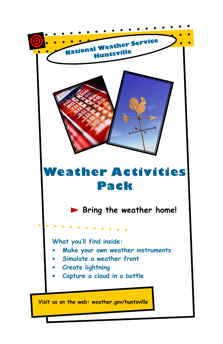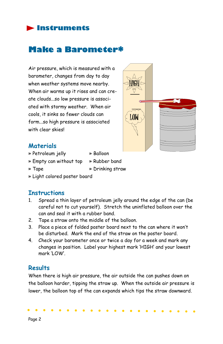#### **Instruments**

# Make a Barometer\*

Air pressure, which is measured with a barometer, changes from day to day when weather systems move nearby. When air warms up it rises and can create clouds...so low pressure is associated with stormy weather. When air cools, it sinks so fewer clouds can form...so high pressure is associated with clear skies!



#### **Materials**

- » Petroleum jelly » Balloon
- » Empty can without top » Rubber band
	-

» Tape » Drinking straw

» Light colored poster board

#### **Instructions**

- 1. Spread a thin layer of petroleum jelly around the edge of the can (be careful not to cut yourself). Stretch the uninflated balloon over the can and seal it with a rubber band.
- 2. Tape a straw onto the middle of the balloon.
- 3. Place a piece of folded poster board next to the can where it won't be disturbed. Mark the end of the straw on the poster board.
- 4. Check your barometer once or twice a day for a week and mark any changes in position. Label your highest mark 'HIGH' and your lowest mark 'LOW'.

#### **Results**

When there is high air pressure, the air outside the can pushes down on the balloon harder, tipping the straw up. When the outside air pressure is lower, the balloon top of the can expands which tips the straw downward.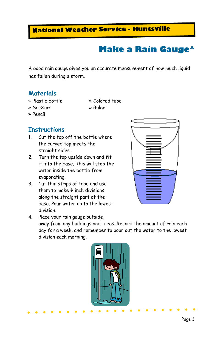# Make a Rain Gauge^

A good rain gauge gives you an accurate measurement of how much liquid has fallen during a storm.

#### **Materials**

- 
- » Plastic bottle » Colored tape
- » Scissors » Ruler
- » Pencil

#### **Instructions**

- 1. Cut the top off the bottle where the curved top meets the straight sides.
- 2. Turn the top upside down and fit it into the base. This will stop the water inside the bottle from evaporating.
- 3. Cut thin strips of tape and use them to make  $\frac{1}{4}$  inch divisions along the straight part of the base. Pour water up to the lowest division.



4. Place your rain gauge outside, away from any buildings and trees. Record the amount of rain each day for a week, and remember to pour out the water to the lowest division each morning.

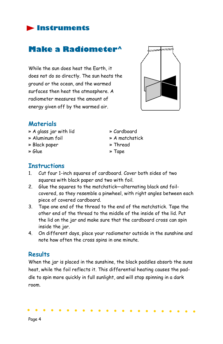### Instruments

# Make a Radiometer^

While the sun does heat the Earth, it does not do so directly. The sun heats the ground or the ocean, and the warmed surfaces then heat the atmosphere. A radiometer measures the amount of energy given off by the warmed air.



#### **Materials**

- » A glass jar with lid » Cardboard
- » Aluminum foil » A matchstick
- » Black paper » Thread
- 
- 
- 
- 
- » Glue » Tape

#### **Instructions**

- 1. Cut four 1-inch squares of cardboard. Cover both sides of two squares with black paper and two with foil.
- 2. Glue the squares to the matchstick—alternating black and foilcovered, so they resemble a pinwheel, with right angles between each piece of covered cardboard.
- 3. Tape one end of the thread to the end of the matchstick. Tape the other end of the thread to the middle of the inside of the lid. Put the lid on the jar and make sure that the cardboard cross can spin inside the jar.
- 4. On different days, place your radiometer outside in the sunshine and note how often the cross spins in one minute.

#### **Results**

When the jar is placed in the sunshine, the black paddles absorb the suns heat, while the foil reflects it. This differential heating causes the paddle to spin more quickly in full sunlight, and will stop spinning in a dark room.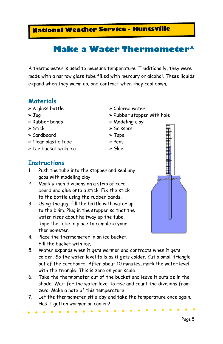# Make a Water Thermometer^

A thermometer is used to measure temperature. Traditionally, they were made with a narrow glass tube filled with mercury or alcohol. These liquids expand when they warm up, and contract when they cool down.

#### **Materials**

- » A glass bottle » Colored water
- 
- » Rubber bands » Modeling clay
- 
- » Cardboard » Tape
- » Clear plastic tube » Pens
- » Ice bucket with ice » Glue
- **Instructions**
- 1. Push the tube into the stopper and seal any gaps with modeling clay.
- 2. Mark  $\frac{1}{2}$  inch divisions on a strip of cardboard and glue onto a stick. Fix the stick to the bottle using the rubber bands.
- 3. Using the jug, fill the bottle with water up to the brim. Plug in the stopper so that the water rises about halfway up the tube. Tape the tube in place to complete your thermometer.
- 4. Place the thermometer in an ice bucket. Fill the bucket with ice.
- 5. Water expands when it gets warmer and contracts when it gets colder. So the water level falls as it gets colder. Cut a small triangle out of the cardboard. After about 10 minutes, mark the water level with the triangle. This is zero on your scale.
- 6. Take the thermometer out of the bucket and leave it outside in the shade. Wait for the water level to rise and count the divisions from zero. Make a note of this temperature.
- 7. Let the thermometer sit a day and take the temperature once again. Has it gotten warmer or cooler?

» Jug » Rubber stopper with hole

- 
- » Stick » Scissors
	-
	-
	-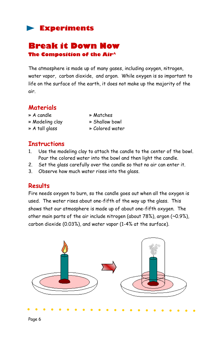#### Break it Down Now The Composition of the Air^

The atmosphere is made up of many gases, including oxygen, nitrogen, water vapor, carbon dioxide, and argon. While oxygen is so important to life on the surface of the earth, it does not make up the majority of the air.

#### Materials

- » A candle » Matches
- » Modeling clay » Shallow bowl
- » A tall glass » Colored water
- 
- 
- 

#### **Instructions**

- 1. Use the modeling clay to attach the candle to the center of the bowl. Pour the colored water into the bowl and then light the candle.
- 2. Set the glass carefully over the candle so that no air can enter it.
- 3. Observe how much water rises into the glass.

#### **Results**

Fire needs oxygen to burn, so the candle goes out when all the oxygen is used. The water rises about one-fifth of the way up the glass. This shows that our atmosphere is made up of about one-fifth oxygen. The other main parts of the air include nitrogen (about 78%), argon (~0.9%), carbon dioxide (0.03%), and water vapor (1-4% at the surface).

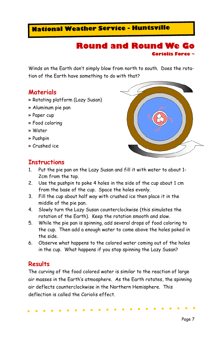#### Round and Round We Go Coriolis Force ~

Winds on the Earth don't simply blow from north to south. Does the rotation of the Earth have something to do with that?

#### **Materials**

- » Rotating platform (Lazy Susan)
- » Aluminum pie pan
- » Paper cup
- » Food coloring
- » Water
- » Pushpin
- » Crushed ice

#### **Instructions**

- 1. Put the pie pan on the Lazy Susan and fill it with water to about 1- 2cm from the top.
- 2. Use the pushpin to poke 4 holes in the side of the cup about 1 cm from the base of the cup. Space the holes evenly.
- 3. Fill the cup about half way with crushed ice then place it in the middle of the pie pan.
- 4. Slowly turn the Lazy Susan counterclockwise (this simulates the rotation of the Earth). Keep the rotation smooth and slow.
- 5. While the pie pan is spinning, add several drops of food coloring to the cup. Then add a enough water to come above the holes poked in the side.
- 6. Observe what happens to the colored water coming out of the holes in the cup. What happens if you stop spinning the Lazy Susan?

#### Results

The curving of the food colored water is similar to the reaction of large air masses in the Earth's atmosphere. As the Earth rotates, the spinning air deflects counterclockwise in the Northern Hemisphere. This deflection is called the Coriolis effect.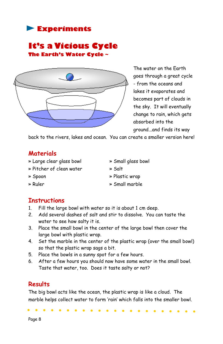#### It's a Vicious Cycle The Earth's Water Cycle ~



The water on the Earth goes through a great cycle - from the oceans and lakes it evaporates and becomes part of clouds in the sky. It will eventually change to rain, which gets absorbed into the ground...and finds its way

back to the rivers, lakes and ocean. You can create a smaller version here!

#### Materials

- » Large clear glass bowl » Small glass bowl
- » Pitcher of clean water » Salt
- 
- » Spoon » Plastic wrap
- » Ruler » Small marble

# **Instructions**

- 1. Fill the large bowl with water so it is about 1 cm deep.
- 2. Add several dashes of salt and stir to dissolve. You can taste the water to see how salty it is.
- 3. Place the small bowl in the center of the large bowl then cover the large bowl with plastic wrap.
- 4. Set the marble in the center of the plastic wrap (over the small bowl) so that the plastic wrap sags a bit.
- 5. Place the bowls in a sunny spot for a few hours.
- 6. After a few hours you should now have some water in the small bowl. Taste that water, too. Does it taste salty or not?

#### **Results**

The big bowl acts like the ocean, the plastic wrap is like a cloud. The marble helps collect water to form 'rain' which falls into the smaller bowl.

Page 8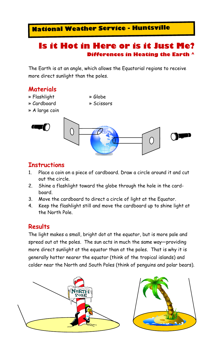## Is it Hot in Here or is it Just Me? Differences in Heating the Earth ^

The Earth is at an angle, which allows the Equatorial regions to receive more direct sunlight than the poles.

#### **Materials**

- » Flashlight » Globe
	-
- » A large coin







#### **Instructions**

- 1. Place a coin on a piece of cardboard. Draw a circle around it and cut out the circle.
- 2. Shine a flashlight toward the globe through the hole in the cardboard.
- 3. Move the cardboard to direct a circle of light at the Equator.
- 4. Keep the flashlight still and move the cardboard up to shine light at the North Pole.

#### Results

The light makes a small, bright dot at the equator, but is more pale and spread out at the poles. The sun acts in much the same way—providing more direct sunlight at the equator than at the poles. That is why it is generally hotter nearer the equator (think of the tropical islands) and colder near the North and South Poles (think of penguins and polar bears).



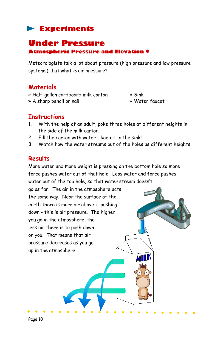# Under Pressure

Atmospheric Pressure and Elevation \*

Meteorologists talk a lot about pressure (high pressure and low pressure systems)...but what is air pressure?

#### **Materials**

- » Half-gallon cardboard milk carton » Sink
- » A sharp pencil or nail » Water faucet

MI

#### **Instructions**

- 1. With the help of an adult, poke three holes at different heights in the side of the milk carton.
- 2. Fill the carton with water keep it in the sink!
- 3. Watch how the water streams out of the holes as different heights.

#### **Results**

More water and more weight is pressing on the bottom hole so more force pushes water out of that hole. Less water and force pushes water out of the top hole, so that water stream doesn't

go as far. The air in the atmosphere acts the same way. Near the surface of the earth there is more air above it pushing down - this is air pressure. The higher you go in the atmosphere, the less air there is to push down on you. That means that air pressure decreases as you go up in the atmosphere.

Page 10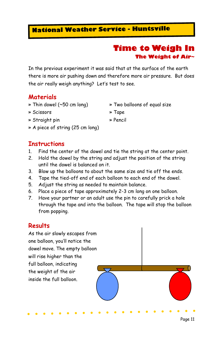#### Time to Weigh In The Weight of Air~

In the previous experiment it was said that at the surface of the earth there is more air pushing down and therefore more air pressure. But does the air really weigh anything? Let's test to see.

#### **Materials**

- » Thin dowel (~50 cm long) » Two balloons of equal size
	-
- » Scissors » Tape
- » Straight pin » Pencil
- 
- » A piece of string (25 cm long)

#### **Instructions**

- 1. Find the center of the dowel and tie the string at the center point.
- 2. Hold the dowel by the string and adjust the position of the string until the dowel is balanced on it.
- 3. Blow up the balloons to about the same size and tie off the ends.
- 4. Tape the tied-off end of each balloon to each end of the dowel.
- 5. Adjust the string as needed to maintain balance.
- 6. Place a piece of tape approximately 2-3 cm long on one balloon.
- 7. Have your partner or an adult use the pin to carefully prick a hole through the tape and into the balloon. The tape will stop the balloon from popping.

#### **Results**

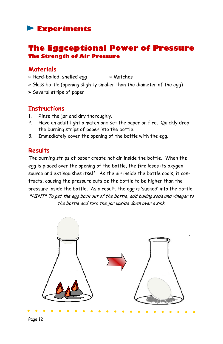#### The Eggceptional Power of Pressure The Strength of Air Pressure

#### **Materials**

- » Hard-boiled, shelled egg » Matches
- » Glass bottle (opening slightly smaller than the diameter of the egg)
- » Several strips of paper

#### **Instructions**

- 1. Rinse the jar and dry thoroughly.
- 2. Have an adult light a match and set the paper on fire. Quickly drop the burning strips of paper into the bottle.
- 3. Immediately cover the opening of the bottle with the egg.

#### **Results**

The burning strips of paper create hot air inside the bottle. When the egg is placed over the opening of the bottle, the fire loses its oxygen source and extinguishes itself. As the air inside the bottle cools, it contracts, causing the pressure outside the bottle to be higher than the pressure inside the bottle. As a result, the egg is 'sucked' into the bottle. \*HINT\* To get the egg back out of the bottle, add baking soda and vinegar to the bottle and turn the jar upside down over a sink.

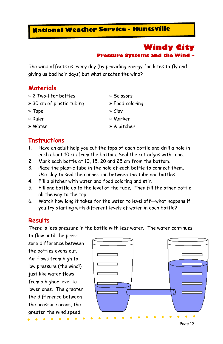### Windy City Pressure Systems and the Wind ~

The wind affects us every day (by providing energy for kites to fly and giving us bad hair days) but what creates the wind?

#### **Materials**

- » 2 Two-liter bottles » Scissors
- » 30 cm of plastic tubing » Food coloring
- » Tape » Clay
- 
- 

#### **Instructions**

- 1. Have an adult help you cut the tops of each bottle and drill a hole in each about 10 cm from the bottom. Seal the cut edges with tape.
- 2. Mark each bottle at 10, 15, 20 and 25 cm from the bottom.
- 3. Place the plastic tube in the hole of each bottle to connect them. Use clay to seal the connection between the tube and bottles.
- 4. Fill a pitcher with water and food coloring and stir.
- 5. Fill one bottle up to the level of the tube. Then fill the other bottle all the way to the top.
- 6. Watch how long it takes for the water to level off—what happens if you try starting with different levels of water in each bottle?

#### **Results**

There is less pressure in the bottle with less water. The water continues

to flow until the pressure difference between the bottles evens out. Air flows from high to low pressure (the wind!) just like water flows from a higher level to lower ones. The greater the difference between the pressure areas, the greater the wind speed.



- 
- 
- » Ruler » Marker
- » Water » A pitcher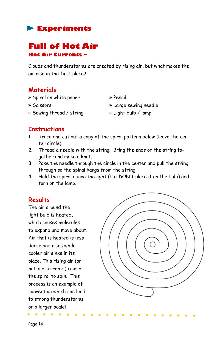

# Full of Hot Air Hot Air Currents ~

Clouds and thunderstorms are created by rising air, but what makes the air rise in the first place?

#### Materials

- » Spiral on white paper » Pencil
- 

» Scissors » Large sewing needle

- » Sewing thread / string » Light bulb / lamp
	-

#### **Instructions**

- 1. Trace and cut out a copy of the spiral pattern below (leave the center circle).
- 2. Thread a needle with the string. Bring the ends of the string together and make a knot.
- 3. Poke the needle through the circle in the center and pull the string through so the spiral hangs from the string.
- 4. Hold the spiral above the light (but DON'T place it on the bulb) and turn on the lamp.

#### **Results**

The air around the light bulb is heated, which causes molecules to expand and move about. Air that is heated is less dense and rises while cooler air sinks in its place. This rising air (or hot-air currents) causes the spiral to spin. This process is an example of convection which can lead to strong thunderstorms on a larger scale!

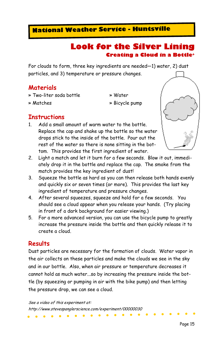#### Look for the Silver Lining Creating a Cloud in a Bottle<sup>+</sup>

For clouds to form, three key ingredients are needed—1) water, 2) dust particles, and 3) temperature or pressure changes.

#### **Materials**

- » Two-liter soda bottle » Water
- 
- 
- » Matches » Bicycle pump

#### **Instructions**

1. Add a small amount of warm water to the bottle. Replace the cap and shake up the bottle so the water drops stick to the inside of the bottle. Pour out the rest of the water so there is none sitting in the bottom. This provides the first ingredient of water.



- 2. Light a match and let it burn for a few seconds. Blow it out, immediately drop it in the bottle and replace the cap. The smoke from the match provides the key ingredient of dust!
- 3. Squeeze the bottle as hard as you can then release both hands evenly and quickly six or seven times (or more). This provides the last key ingredient of temperature and pressure changes.
- 4. After several squeezes, squeeze and hold for a few seconds. You should see a cloud appear when you release your hands. (Try placing in front of a dark background for easier viewing.)
- 5. For a more advanced version, you can use the bicycle pump to greatly increase the pressure inside the bottle and then quickly release it to create a cloud.

#### **Results**

Dust particles are necessary for the formation of clouds. Water vapor in the air collects on these particles and make the clouds we see in the sky and in our bottle. Also, when air pressure or temperature decreases it cannot hold as much water...so by increasing the pressure inside the bottle (by squeezing or pumping in air with the bike pump) and then letting the pressure drop, we can see a cloud.

See a video of this experiment at: http://www.stevespanglerscience.com/experiment/00000030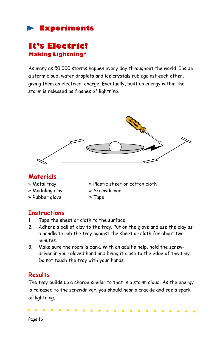# It's Electric! Making Lightning^

As many as 50,000 storms happen every day throughout the world. Inside a storm cloud, water droplets and ice crystals rub against each other, giving them an electrical charge. Eventually, built up energy within the storm is released as flashes of lightning.



#### **Materials**

- 
- » Modeling clay » Screwdriver
- » Rubber glove » Tape
- » Metal tray » Plastic sheet or cotton cloth
	-
	-

#### **Instructions**

- 1. Tape the sheet or cloth to the surface.
- 2. Adhere a ball of clay to the tray. Put on the glove and use the clay as a handle to rub the tray against the sheet or cloth for about two minutes.
- 3. Make sure the room is dark. With an adult's help, hold the screwdriver in your gloved hand and bring it close to the edge of the tray. Do not touch the tray with your hands.

## Results

The tray builds up a charge similar to that in a storm cloud. As the energy is released to the screwdriver, you should hear a crackle and see a spark of lightning.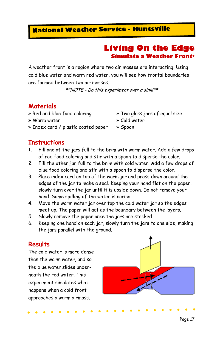#### Living On the Edge Simulate a Weather Front<sup>+</sup>

A weather front is a region where two air masses are interacting. Using cold blue water and warm red water, you will see how frontal boundaries are formed between two air masses.

\*\*NOTE - Do this experiment over a sink!\*\*

#### **Materials**

- 
- » Warm water » Cold water
- » Index card / plastic coated paper » Spoon
- » Red and blue food coloring » Two glass jars of equal size
	-
	-

#### **Instructions**

- 1. Fill one of the jars full to the brim with warm water. Add a few drops of red food coloring and stir with a spoon to disperse the color.
- 2. Fill the other jar full to the brim with cold water. Add a few drops of blue food coloring and stir with a spoon to disperse the color.
- 3. Place index card on top of the warm jar and press down around the edges of the jar to make a seal. Keeping your hand flat on the paper, slowly turn over the jar until it is upside down. Do not remove your hand. Some spilling of the water is normal.
- 4. Move the warm water jar over top the cold water jar so the edges meet up. The paper will act as the boundary between the layers.
- 5. Slowly remove the paper once the jars are stacked.
- 6. Keeping one hand on each jar, slowly turn the jars to one side, making the jars parallel with the ground.

#### **Results**

The cold water is more dense than the warm water, and so the blue water slides underneath the red water. This experiment simulates what happens when a cold front approaches a warm airmass.

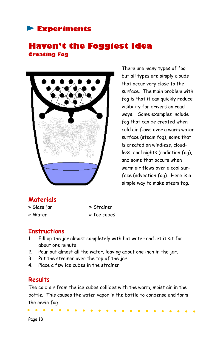#### Haven't the Foggiest Idea Creating Fog



There are many types of fog but all types are simply clouds that occur very close to the surface. The main problem with fog is that it can quickly reduce visibility for drivers on roadways. Some examples include fog that can be created when cold air flows over a warm water surface (steam fog), some that is created on windless, cloudless, cool nights (radiation fog), and some that occurs when warm air flows over a cool surface (advection fog). Here is a simple way to make steam fog.

#### **Materials**

- » Glass jar » Strainer
- 
- 
- » Water » Ice cubes

#### **Instructions**

- 1. Fill up the jar almost completely with hot water and let it sit for about one minute.
- 2. Pour out almost all the water, leaving about one inch in the jar.
- 3. Put the strainer over the top of the jar.
- 4. Place a few ice cubes in the strainer.

#### **Results**

The cold air from the ice cubes collides with the warm, moist air in the bottle. This causes the water vapor in the bottle to condense and form the eerie fog.

Page 18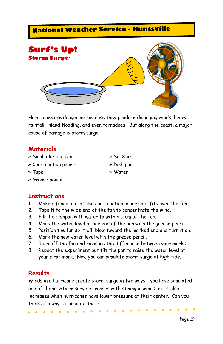

Hurricanes are dangerous because they produce damaging winds, heavy rainfall, inland flooding, and even tornadoes. But along the coast, a major cause of damage is storm surge.

#### **Materials**

- » Small electric fan » Scissors
- » Construction paper » Dish pan
- 
- » Grease pencil

#### **Instructions**

- 1. Make a funnel out of the construction paper so it fits over the fan.
- 2. Tape it to the wide end of the fan to concentrate the wind.
- 3. Fill the dishpan with water to within 5 cm of the top.
- 4. Mark the water level at one end of the pan with the grease pencil.
- 5. Position the fan so it will blow toward the marked end and turn it on.
- 6. Mark the new water level with the grease pencil.
- 7. Turn off the fan and measure the difference between your marks.
- 8. Repeat the experiment but tilt the pan to raise the water level at your first mark. Now you can simulate storm surge at high tide.

#### **Results**

Winds in a hurricane create storm surge in two ways - you have simulated one of them. Storm surge increases with stronger winds but it also increases when hurricanes have lower pressure at their center. Can you think of a way to simulate that?

- 
- 
- » Tape » Water